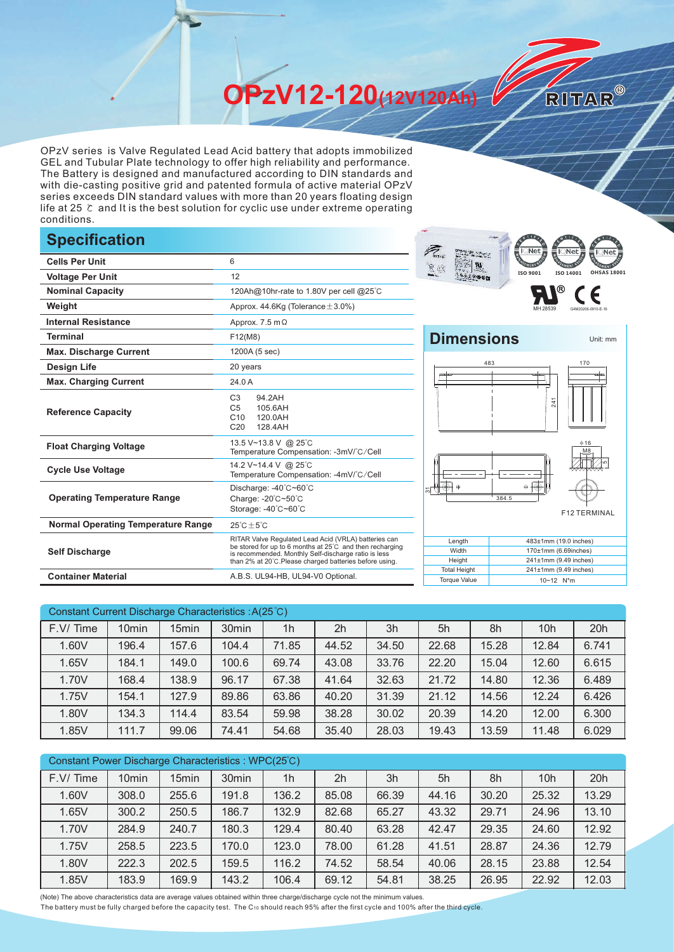**OPzV12-120(12V120Ah)** 

OPzV series is Valve Regulated Lead Acid battery that adopts immobilized GEL and Tubular Plate technology to offer high reliability and performance. The Battery is designed and manufactured according to DIN standards and with die-casting positive grid and patented formula of active material OPzV series exceeds DIN standard values with more than 20 years floating design life at 25 ℃ and It is the best solution for cyclic use under extreme operating conditions.

## **Specification**

|                                           |                                                                                                                                                                                                                                     | <b>KITAN</b><br>$P$ Net $\boldsymbol{g}$<br><b>ISSING</b><br>u                 |
|-------------------------------------------|-------------------------------------------------------------------------------------------------------------------------------------------------------------------------------------------------------------------------------------|--------------------------------------------------------------------------------|
| <b>Cells Per Unit</b>                     | 6                                                                                                                                                                                                                                   | 夏的                                                                             |
| <b>Voltage Per Unit</b>                   | 12                                                                                                                                                                                                                                  | ISO 9001<br>ISO 140                                                            |
| <b>Nominal Capacity</b>                   | 120Ah@10hr-rate to 1.80V per cell @25°C                                                                                                                                                                                             | R)                                                                             |
| Weight                                    | Approx. 44.6Kg (Tolerance $\pm$ 3.0%)                                                                                                                                                                                               |                                                                                |
| <b>Internal Resistance</b>                | Approx. 7.5 m $\Omega$                                                                                                                                                                                                              |                                                                                |
| <b>Terminal</b>                           | F12(M8)                                                                                                                                                                                                                             | <b>Dimensions</b>                                                              |
| <b>Max. Discharge Current</b>             | 1200A (5 sec)                                                                                                                                                                                                                       |                                                                                |
| <b>Design Life</b>                        | 20 years                                                                                                                                                                                                                            | 483                                                                            |
| <b>Max. Charging Current</b>              | 24.0 A                                                                                                                                                                                                                              |                                                                                |
| <b>Reference Capacity</b>                 | 94.2AH<br>C <sub>3</sub><br>C <sub>5</sub><br>105.6AH<br>C10<br>120.0AH<br>C <sub>20</sub><br>128.4AH                                                                                                                               | 241                                                                            |
| <b>Float Charging Voltage</b>             | 13.5 V~13.8 V @ 25°C<br>Temperature Compensation: -3mV/°C/Cell                                                                                                                                                                      |                                                                                |
| <b>Cycle Use Voltage</b>                  | 14.2 V~14.4 V @ 25°C<br>Temperature Compensation: -4mV/°C/Cell                                                                                                                                                                      |                                                                                |
| <b>Operating Temperature Range</b>        | Discharge: -40°C~60°C<br>Charge: -20°C~50°C<br>Storage: -40°C~60°C                                                                                                                                                                  | $\overline{\circledast}$ $\circ$<br>⊖ ⊦<br>384.5<br>F <sub>12</sub>            |
| <b>Normal Operating Temperature Range</b> | $25^{\circ}$ C $\pm 5^{\circ}$ C                                                                                                                                                                                                    |                                                                                |
| <b>Self Discharge</b>                     | RITAR Valve Regulated Lead Acid (VRLA) batteries can<br>be stored for up to 6 months at 25°C and then recharging<br>is recommended. Monthly Self-discharge ratio is less<br>than 2% at 20°C. Please charged batteries before using. | Length<br>483±1mm (19.0<br>Width<br>170±1mm (6.69i<br>Height<br>241±1mm (9.49) |
| <b>Container Material</b>                 | A.B.S. UL94-HB, UL94-V0 Optional.                                                                                                                                                                                                   | <b>Total Height</b><br>241±1mm (9.49)<br><b>Torque Value</b><br>10~12 N*m      |



RITAR®



| Width               | $170±1$ mm (6.69inches)    |
|---------------------|----------------------------|
| Height              | $241±1$ mm (9.49 inches)   |
| <b>Total Height</b> | $241±1$ mm (9.49 inches)   |
| <b>Torque Value</b> | $10 - 12$ N <sup>*</sup> m |
|                     |                            |

| Constant Current Discharge Characteristics: A(25°C) |                   |       |                   |                |       |       |       |       |                 |       |
|-----------------------------------------------------|-------------------|-------|-------------------|----------------|-------|-------|-------|-------|-----------------|-------|
| F.V/Time                                            | 10 <sub>min</sub> | 15min | 30 <sub>min</sub> | 1 <sub>h</sub> | 2h    | 3h    | 5h    | 8h    | 10 <sub>h</sub> | 20h   |
| 1.60V                                               | 196.4             | 157.6 | 104.4             | 71.85          | 44.52 | 34.50 | 22.68 | 15.28 | 12.84           | 6.741 |
| 1.65V                                               | 184.1             | 149.0 | 100.6             | 69.74          | 43.08 | 33.76 | 22.20 | 15.04 | 12.60           | 6.615 |
| 1.70V                                               | 168.4             | 138.9 | 96.17             | 67.38          | 41.64 | 32.63 | 21.72 | 14.80 | 12.36           | 6.489 |
| 1.75V                                               | 154.1             | 127.9 | 89.86             | 63.86          | 40.20 | 31.39 | 21.12 | 14.56 | 12.24           | 6.426 |
| 1.80V                                               | 134.3             | 114.4 | 83.54             | 59.98          | 38.28 | 30.02 | 20.39 | 14.20 | 12.00           | 6.300 |
| 1.85V                                               | 111.7             | 99.06 | 74.41             | 54.68          | 35.40 | 28.03 | 19.43 | 13.59 | 11.48           | 6.029 |

| Constant Power Discharge Characteristics : WPC(25°C) |                   |                   |                   |                |                |       |       |       |                 |       |
|------------------------------------------------------|-------------------|-------------------|-------------------|----------------|----------------|-------|-------|-------|-----------------|-------|
| F.V/Time                                             | 10 <sub>min</sub> | 15 <sub>min</sub> | 30 <sub>min</sub> | 1 <sub>h</sub> | 2 <sub>h</sub> | 3h    | 5h    | 8h    | 10 <sub>h</sub> | 20h   |
| 1.60V                                                | 308.0             | 255.6             | 191.8             | 136.2          | 85.08          | 66.39 | 44.16 | 30.20 | 25.32           | 13.29 |
| 1.65V                                                | 300.2             | 250.5             | 186.7             | 132.9          | 82.68          | 65.27 | 43.32 | 29.71 | 24.96           | 13.10 |
| 1.70V                                                | 284.9             | 240.7             | 180.3             | 129.4          | 80.40          | 63.28 | 42.47 | 29.35 | 24.60           | 12.92 |
| 1.75V                                                | 258.5             | 223.5             | 170.0             | 123.0          | 78.00          | 61.28 | 41.51 | 28.87 | 24.36           | 12.79 |
| 1.80V                                                | 222.3             | 202.5             | 159.5             | 116.2          | 74.52          | 58.54 | 40.06 | 28.15 | 23.88           | 12.54 |
| 1.85V                                                | 183.9             | 169.9             | 143.2             | 106.4          | 69.12          | 54.81 | 38.25 | 26.95 | 22.92           | 12.03 |

(Note) The above characteristics data are average values obtained within three charge/discharge cycle not the minimum values.

The battery must be fully charged before the capacity test. The C10 should reach 95% after the first cycle and 100% after the third cycle.